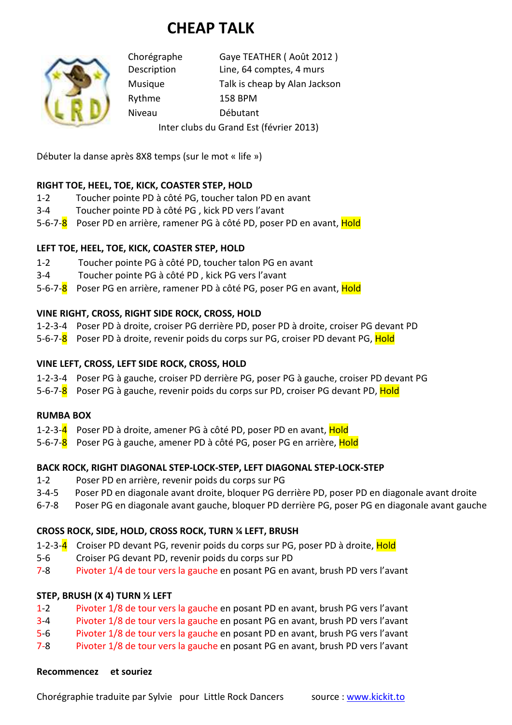# **CHEAP TALK**



Chorégraphe Gaye TEATHER ( Août 2012 ) Description Line, 64 comptes, 4 murs Musique Talk is cheap by Alan Jackson Rythme 158 BPM Niveau Débutant Inter clubs du Grand Est (février 2013)

Débuter la danse après 8X8 temps (sur le mot « life »)

## **RIGHT TOE, HEEL, TOE, KICK, COASTER STEP, HOLD**

- 1-2 Toucher pointe PD à côté PG, toucher talon PD en avant
- 3-4 Toucher pointe PD à côté PG , kick PD vers l'avant
- 5-6-7-8 Poser PD en arrière, ramener PG à côté PD, poser PD en avant, Hold

## **LEFT TOE, HEEL, TOE, KICK, COASTER STEP, HOLD**

- 1-2 Toucher pointe PG à côté PD, toucher talon PG en avant
- 3-4 Toucher pointe PG à côté PD , kick PG vers l'avant
- 5-6-7-8 Poser PG en arrière, ramener PD à côté PG, poser PG en avant, Hold

## **VINE RIGHT, CROSS, RIGHT SIDE ROCK, CROSS, HOLD**

- 1-2-3-4 Poser PD à droite, croiser PG derrière PD, poser PD à droite, croiser PG devant PD
- 5-6-7-8 Poser PD à droite, revenir poids du corps sur PG, croiser PD devant PG, Hold

### **VINE LEFT, CROSS, LEFT SIDE ROCK, CROSS, HOLD**

- 1-2-3-4 Poser PG à gauche, croiser PD derrière PG, poser PG à gauche, croiser PD devant PG
- 5-6-7-8 Poser PG à gauche, revenir poids du corps sur PD, croiser PG devant PD, Hold

### **RUMBA BOX**

- 1-2-3-4 Poser PD à droite, amener PG à côté PD, poser PD en avant, Hold
- 5-6-7-8 Poser PG à gauche, amener PD à côté PG, poser PG en arrière, Hold

### **BACK ROCK, RIGHT DIAGONAL STEP-LOCK-STEP, LEFT DIAGONAL STEP-LOCK-STEP**

- 1-2 Poser PD en arrière, revenir poids du corps sur PG
- 3-4-5 Poser PD en diagonale avant droite, bloquer PG derrière PD, poser PD en diagonale avant droite
- 6-7-8 Poser PG en diagonale avant gauche, bloquer PD derrière PG, poser PG en diagonale avant gauche

### **CROSS ROCK, SIDE, HOLD, CROSS ROCK, TURN ¼ LEFT, BRUSH**

- 1-2-3-4 Croiser PD devant PG, revenir poids du corps sur PG, poser PD à droite, Hold
- 5-6 Croiser PG devant PD, revenir poids du corps sur PD
- 7-8 Pivoter 1/4 de tour vers la gauche en posant PG en avant, brush PD vers l'avant

### **STEP, BRUSH (X 4) TURN ½ LEFT**

- 1-2 Pivoter 1/8 de tour vers la gauche en posant PD en avant, brush PG vers l'avant
- 3-4 Pivoter 1/8 de tour vers la gauche en posant PG en avant, brush PD vers l'avant
- 5-6 Pivoter 1/8 de tour vers la gauche en posant PD en avant, brush PG vers l'avant
- 7-8 Pivoter 1/8 de tour vers la gauche en posant PG en avant, brush PD vers l'avant

## **Recommencez et souriez**

Chorégraphie traduite par Sylvie pour Little Rock Dancers source : www.kickit.to